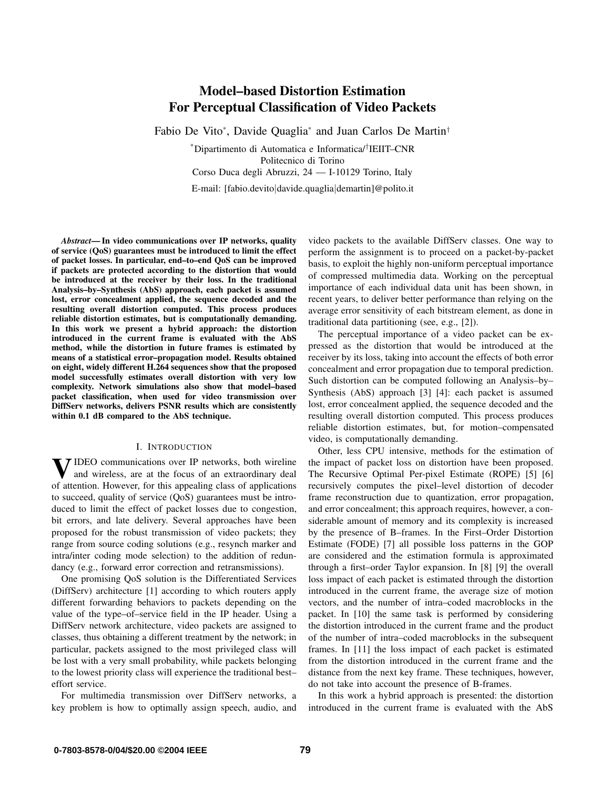# **Model–based Distortion Estimation For Perceptual Classification of Video Packets**

Fabio De Vito\*, Davide Quaglia\* and Juan Carlos De Martin†

\*Dipartimento di Automatica e Informatica/†IEIIT–CNR Politecnico di Torino Corso Duca degli Abruzzi, 24 — I-10129 Torino, Italy E-mail: [fabio.devito|davide.quaglia|demartin]@polito.it

*Abstract***— In video communications over IP networks, quality of service (QoS) guarantees must be introduced to limit the effect of packet losses. In particular, end–to–end QoS can be improved if packets are protected according to the distortion that would be introduced at the receiver by their loss. In the traditional Analysis–by–Synthesis (AbS) approach, each packet is assumed lost, error concealment applied, the sequence decoded and the resulting overall distortion computed. This process produces reliable distortion estimates, but is computationally demanding. In this work we present a hybrid approach: the distortion introduced in the current frame is evaluated with the AbS method, while the distortion in future frames is estimated by means of a statistical error–propagation model. Results obtained on eight, widely different H.264 sequences show that the proposed model successfully estimates overall distortion with very low complexity. Network simulations also show that model–based packet classification, when used for video transmission over DiffServ networks, delivers PSNR results which are consistently within 0.1 dB compared to the AbS technique.**

## I. INTRODUCTION

**7** IDEO communications over IP networks, both wireline and wireless, are at the focus of an extraordinary deal of attention. However, for this appealing class of applications to succeed, quality of service (QoS) guarantees must be introduced to limit the effect of packet losses due to congestion, bit errors, and late delivery. Several approaches have been proposed for the robust transmission of video packets; they range from source coding solutions (e.g., resynch marker and intra/inter coding mode selection) to the addition of redundancy (e.g., forward error correction and retransmissions).

One promising QoS solution is the Differentiated Services (DiffServ) architecture [1] according to which routers apply different forwarding behaviors to packets depending on the value of the type–of–service field in the IP header. Using a DiffServ network architecture, video packets are assigned to classes, thus obtaining a different treatment by the network; in particular, packets assigned to the most privileged class will be lost with a very small probability, while packets belonging to the lowest priority class will experience the traditional best– effort service.

For multimedia transmission over DiffServ networks, a key problem is how to optimally assign speech, audio, and video packets to the available DiffServ classes. One way to perform the assignment is to proceed on a packet-by-packet basis, to exploit the highly non-uniform perceptual importance of compressed multimedia data. Working on the perceptual importance of each individual data unit has been shown, in recent years, to deliver better performance than relying on the average error sensitivity of each bitstream element, as done in traditional data partitioning (see, e.g., [2]).

The perceptual importance of a video packet can be expressed as the distortion that would be introduced at the receiver by its loss, taking into account the effects of both error concealment and error propagation due to temporal prediction. Such distortion can be computed following an Analysis–by– Synthesis (AbS) approach [3] [4]: each packet is assumed lost, error concealment applied, the sequence decoded and the resulting overall distortion computed. This process produces reliable distortion estimates, but, for motion–compensated video, is computationally demanding.

Other, less CPU intensive, methods for the estimation of the impact of packet loss on distortion have been proposed. The Recursive Optimal Per-pixel Estimate (ROPE) [5] [6] recursively computes the pixel–level distortion of decoder frame reconstruction due to quantization, error propagation, and error concealment; this approach requires, however, a considerable amount of memory and its complexity is increased by the presence of B–frames. In the First–Order Distortion Estimate (FODE) [7] all possible loss patterns in the GOP are considered and the estimation formula is approximated through a first–order Taylor expansion. In [8] [9] the overall loss impact of each packet is estimated through the distortion introduced in the current frame, the average size of motion vectors, and the number of intra–coded macroblocks in the packet. In [10] the same task is performed by considering the distortion introduced in the current frame and the product of the number of intra–coded macroblocks in the subsequent frames. In [11] the loss impact of each packet is estimated from the distortion introduced in the current frame and the distance from the next key frame. These techniques, however, do not take into account the presence of B-frames.

In this work a hybrid approach is presented: the distortion introduced in the current frame is evaluated with the AbS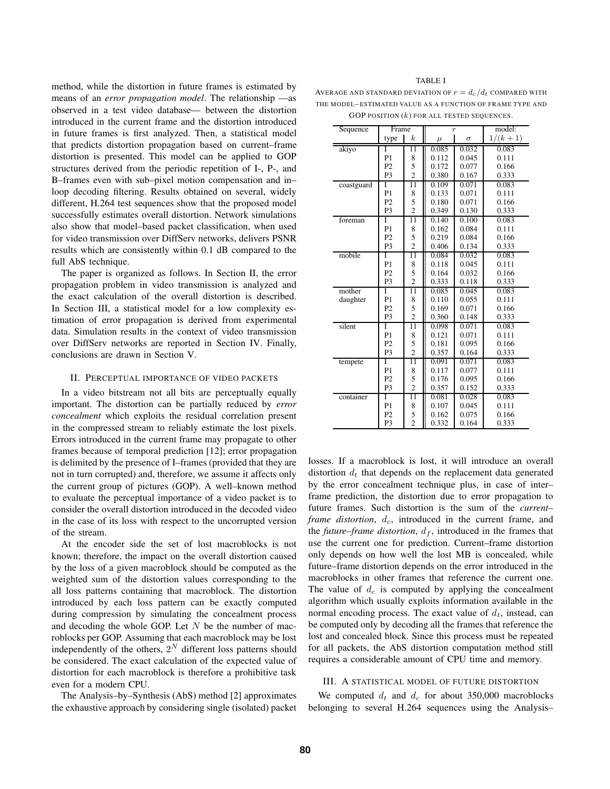method, while the distortion in future frames is estimated by means of an *error propagation model*. The relationship —as observed in a test video database— between the distortion introduced in the current frame and the distortion introduced in future frames is first analyzed. Then, a statistical model that predicts distortion propagation based on current–frame distortion is presented. This model can be applied to GOP structures derived from the periodic repetition of I-, P-, and B–frames even with sub–pixel motion compensation and in– loop decoding filtering. Results obtained on several, widely different, H.264 test sequences show that the proposed model successfully estimates overall distortion. Network simulations also show that model–based packet classification, when used for video transmission over DiffServ networks, delivers PSNR results which are consistently within 0.1 dB compared to the full AbS technique.

The paper is organized as follows. In Section II, the error propagation problem in video transmission is analyzed and the exact calculation of the overall distortion is described. In Section III, a statistical model for a low complexity estimation of error propagation is derived from experimental data. Simulation results in the context of video transmission over DiffServ networks are reported in Section IV. Finally, conclusions are drawn in Section V.

#### II. PERCEPTUAL IMPORTANCE OF VIDEO PACKETS

In a video bitstream not all bits are perceptually equally important. The distortion can be partially reduced by *error concealment* which exploits the residual correlation present in the compressed stream to reliably estimate the lost pixels. Errors introduced in the current frame may propagate to other frames because of temporal prediction [12]; error propagation is delimited by the presence of I–frames (provided that they are not in turn corrupted) and, therefore, we assume it affects only the current group of pictures (GOP). A well–known method to evaluate the perceptual importance of a video packet is to consider the overall distortion introduced in the decoded video in the case of its loss with respect to the uncorrupted version of the stream.

At the encoder side the set of lost macroblocks is not known; therefore, the impact on the overall distortion caused by the loss of a given macroblock should be computed as the weighted sum of the distortion values corresponding to the all loss patterns containing that macroblock. The distortion introduced by each loss pattern can be exactly computed during compression by simulating the concealment process and decoding the whole GOP. Let  $N$  be the number of macroblocks per GOP. Assuming that each macroblock may be lost independently of the others,  $2^N$  different loss patterns should be considered. The exact calculation of the expected value of distortion for each macroblock is therefore a prohibitive task even for a modern CPU.

The Analysis–by–Synthesis (AbS) method [2] approximates the exhaustive approach by considering single (isolated) packet

#### TABLE I

AVERAGE AND STANDARD DEVIATION OF  $r = d_c/d_t$  COMPARED WITH THE MODEL– ESTIMATED VALUE AS A FUNCTION OF FRAME TYPE AND GOP POSITION  $(k)$  for all tested sequences.

| Sequence   | Frame          |                  | $\overline{r}$ |          | model:    |
|------------|----------------|------------------|----------------|----------|-----------|
|            | type           | $\boldsymbol{k}$ | $\mu$          | $\sigma$ | $1/(k+1)$ |
| akiyo      | Ī              | $\overline{11}$  | 0.085          | 0.032    | 0.083     |
|            | P <sub>1</sub> | 8                | 0.112          | 0.045    | 0.111     |
|            | P <sub>2</sub> | 5                | 0.172          | 0.077    | 0.166     |
|            | P <sub>3</sub> | $\overline{2}$   | 0.380          | 0.167    | 0.333     |
| coastguard | I              | 11               | 0.109          | 0.071    | 0.083     |
|            | P <sub>1</sub> | 8                | 0.133          | 0.071    | 0.111     |
|            | P <sub>2</sub> | 5                | 0.180          | 0.071    | 0.166     |
|            | P <sub>3</sub> | $\overline{2}$   | 0.349          | 0.130    | 0.333     |
| foreman    | Ī              | $\overline{11}$  | 0.140          | 0.100    | 0.083     |
|            | P1             | 8                | 0.162          | 0.084    | 0.111     |
|            | P <sub>2</sub> | 5                | 0.219          | 0.084    | 0.166     |
|            | P <sub>3</sub> | $\overline{c}$   | 0.406          | 0.134    | 0.333     |
| mobile     | T              | $\overline{11}$  | 0.084          | 0.032    | 0.083     |
|            | P1             | 8                | 0.118          | 0.045    | 0.111     |
|            | P <sub>2</sub> | 5                | 0.164          | 0.032    | 0.166     |
|            | P <sub>3</sub> | $\overline{2}$   | 0.333          | 0.118    | 0.333     |
| mother     | Ī              | $\overline{11}$  | 0.085          | 0.045    | 0.083     |
| daughter   | P1             | 8                | 0.110          | 0.055    | 0.111     |
|            | P <sub>2</sub> | 5                | 0.169          | 0.071    | 0.166     |
|            | P <sub>3</sub> | $\overline{2}$   | 0.360          | 0.148    | 0.333     |
| silent     | Ī              | 11               | 0.098          | 0.071    | 0.083     |
|            | P <sub>1</sub> | 8                | 0.121          | 0.071    | 0.111     |
|            | P <sub>2</sub> | 5                | 0.181          | 0.095    | 0.166     |
|            | P3             | $\overline{c}$   | 0.357          | 0.164    | 0.333     |
| tempete    | Ī              | $\overline{11}$  | 0.091          | 0.071    | 0.083     |
|            | P1             | 8                | 0.117          | 0.077    | 0.111     |
|            | P <sub>2</sub> | 5                | 0.176          | 0.095    | 0.166     |
|            | P <sub>3</sub> | $\overline{2}$   | 0.357          | 0.152    | 0.333     |
| container  | Ī              | $\overline{11}$  | 0.081          | 0.028    | 0.083     |
|            | P <sub>1</sub> | 8                | 0.107          | 0.045    | 0.111     |
|            | P <sub>2</sub> | $\frac{5}{2}$    | 0.162          | 0.075    | 0.166     |
|            | P <sub>3</sub> |                  | 0.332          | 0.164    | 0.333     |

losses. If a macroblock is lost, it will introduce an overall distortion  $d_t$  that depends on the replacement data generated by the error concealment technique plus, in case of inter– frame prediction, the distortion due to error propagation to future frames. Such distortion is the sum of the *current– frame distortion*,  $d_c$ , introduced in the current frame, and the *future–frame distortion*,  $d_f$ , introduced in the frames that use the current one for prediction. Current–frame distortion only depends on how well the lost MB is concealed, while future–frame distortion depends on the error introduced in the macroblocks in other frames that reference the current one. The value of  $d_c$  is computed by applying the concealment algorithm which usually exploits information available in the normal encoding process. The exact value of  $d_t$ , instead, can be computed only by decoding all the frames that reference the lost and concealed block. Since this process must be repeated for all packets, the AbS distortion computation method still requires a considerable amount of CPU time and memory.

# III. A STATISTICAL MODEL OF FUTURE DISTORTION

We computed  $d_t$  and  $d_c$  for about 350,000 macroblocks belonging to several H.264 sequences using the Analysis–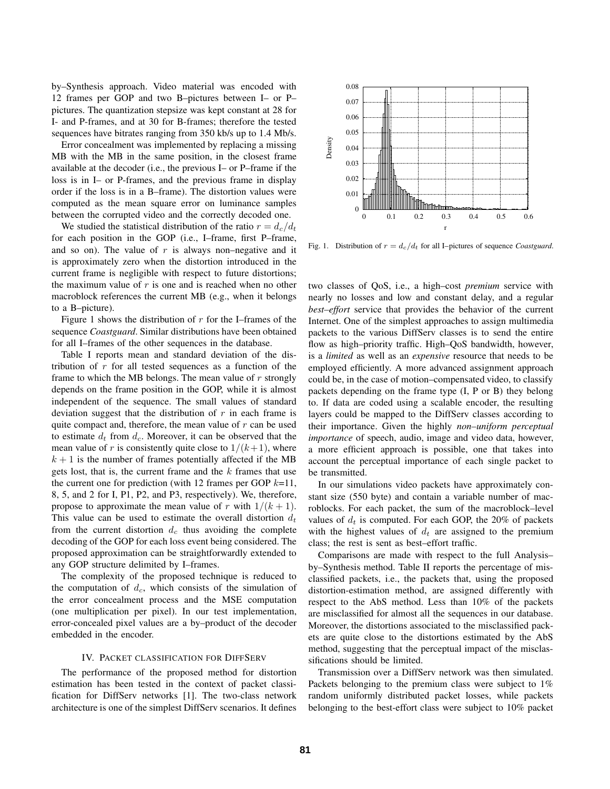by–Synthesis approach. Video material was encoded with 12 frames per GOP and two B–pictures between I– or P– pictures. The quantization stepsize was kept constant at 28 for I- and P-frames, and at 30 for B-frames; therefore the tested sequences have bitrates ranging from 350 kb/s up to 1.4 Mb/s.

Error concealment was implemented by replacing a missing MB with the MB in the same position, in the closest frame available at the decoder (i.e., the previous I– or P–frame if the loss is in I– or P-frames, and the previous frame in display order if the loss is in a B–frame). The distortion values were computed as the mean square error on luminance samples between the corrupted video and the correctly decoded one.

We studied the statistical distribution of the ratio  $r = d_c/d_t$ for each position in the GOP (i.e., I–frame, first P–frame, and so on). The value of  $r$  is always non–negative and it is approximately zero when the distortion introduced in the current frame is negligible with respect to future distortions; the maximum value of  $r$  is one and is reached when no other macroblock references the current MB (e.g., when it belongs to a B–picture).

Figure 1 shows the distribution of  $r$  for the I–frames of the sequence *Coastguard*. Similar distributions have been obtained for all I–frames of the other sequences in the database.

Table I reports mean and standard deviation of the distribution of  $r$  for all tested sequences as a function of the frame to which the MB belongs. The mean value of  $r$  strongly depends on the frame position in the GOP, while it is almost independent of the sequence. The small values of standard deviation suggest that the distribution of  $r$  in each frame is quite compact and, therefore, the mean value of  $r$  can be used to estimate  $d_t$  from  $d_c$ . Moreover, it can be observed that the mean value of r is consistently quite close to  $1/(k+1)$ , where  $k + 1$  is the number of frames potentially affected if the MB gets lost, that is, the current frame and the  $k$  frames that use the current one for prediction (with 12 frames per GOP  $k=11$ , 8, 5, and 2 for I, P1, P2, and P3, respectively). We, therefore, propose to approximate the mean value of r with  $1/(k+1)$ . This value can be used to estimate the overall distortion  $d_t$ from the current distortion  $d_c$  thus avoiding the complete decoding of the GOP for each loss event being considered. The proposed approximation can be straightforwardly extended to any GOP structure delimited by I–frames.

The complexity of the proposed technique is reduced to the computation of  $d_c$ , which consists of the simulation of the error concealment process and the MSE computation (one multiplication per pixel). In our test implementation, error-concealed pixel values are a by–product of the decoder embedded in the encoder.

## IV. PACKET CLASSIFICATION FOR DIFFSERV

The performance of the proposed method for distortion estimation has been tested in the context of packet classification for DiffServ networks [1]. The two-class network architecture is one of the simplest DiffServ scenarios. It defines



Fig. 1. Distribution of  $r = d_c/d_t$  for all I–pictures of sequence *Coastguard*.

two classes of QoS, i.e., a high–cost *premium* service with nearly no losses and low and constant delay, and a regular *best–effort* service that provides the behavior of the current Internet. One of the simplest approaches to assign multimedia packets to the various DiffServ classes is to send the entire flow as high–priority traffic. High–QoS bandwidth, however, is a *limited* as well as an *expensive* resource that needs to be employed efficiently. A more advanced assignment approach could be, in the case of motion–compensated video, to classify packets depending on the frame type (I, P or B) they belong to. If data are coded using a scalable encoder, the resulting layers could be mapped to the DiffServ classes according to their importance. Given the highly *non–uniform perceptual importance* of speech, audio, image and video data, however, a more efficient approach is possible, one that takes into account the perceptual importance of each single packet to be transmitted.

In our simulations video packets have approximately constant size (550 byte) and contain a variable number of macroblocks. For each packet, the sum of the macroblock–level values of  $d_t$  is computed. For each GOP, the 20% of packets with the highest values of  $d_t$  are assigned to the premium class; the rest is sent as best–effort traffic.

Comparisons are made with respect to the full Analysis– by–Synthesis method. Table II reports the percentage of misclassified packets, i.e., the packets that, using the proposed distortion-estimation method, are assigned differently with respect to the AbS method. Less than 10% of the packets are misclassified for almost all the sequences in our database. Moreover, the distortions associated to the misclassified packets are quite close to the distortions estimated by the AbS method, suggesting that the perceptual impact of the misclassifications should be limited.

Transmission over a DiffServ network was then simulated. Packets belonging to the premium class were subject to 1% random uniformly distributed packet losses, while packets belonging to the best-effort class were subject to 10% packet